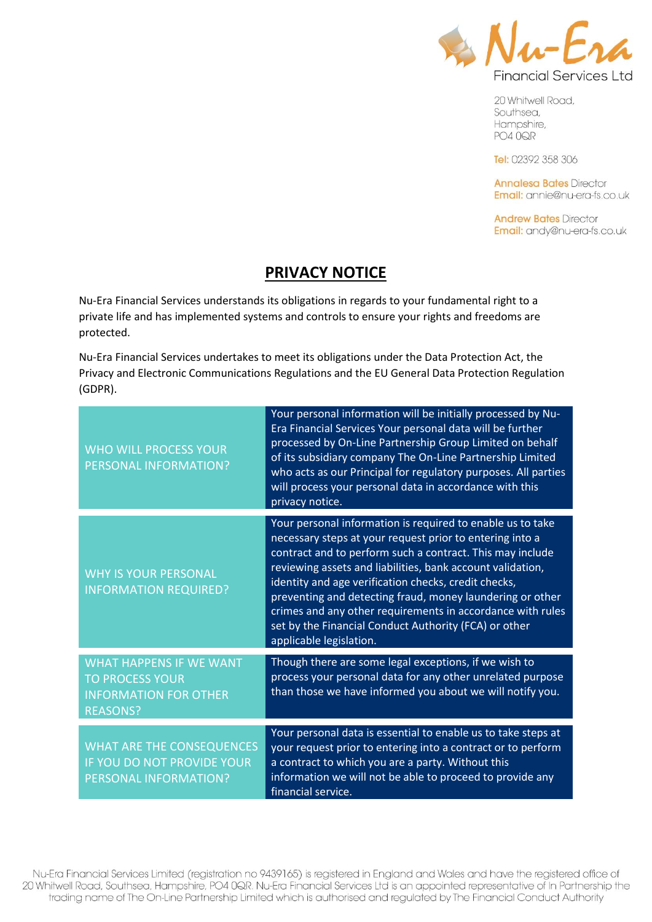

20 Whitwell Road, Southsea, Hampshire, **PO4 0QR** 

Tel: 02392 358 306

**Annalesa Bates Director** Email: annie@nu-era-fs.co.uk

**Andrew Bates Director** Email: andy@nu-era-fs.co.uk

## **PRIVACY NOTICE**

Nu-Era Financial Services understands its obligations in regards to your fundamental right to a private life and has implemented systems and controls to ensure your rights and freedoms are protected.

Nu-Era Financial Services undertakes to meet its obligations under the Data Protection Act, the Privacy and Electronic Communications Regulations and the EU General Data Protection Regulation (GDPR).

| <b>WHO WILL PROCESS YOUR</b><br>PERSONAL INFORMATION?                                                       | Your personal information will be initially processed by Nu-<br>Era Financial Services Your personal data will be further<br>processed by On-Line Partnership Group Limited on behalf<br>of its subsidiary company The On-Line Partnership Limited<br>who acts as our Principal for regulatory purposes. All parties<br>will process your personal data in accordance with this<br>privacy notice.                                                                                                                       |
|-------------------------------------------------------------------------------------------------------------|--------------------------------------------------------------------------------------------------------------------------------------------------------------------------------------------------------------------------------------------------------------------------------------------------------------------------------------------------------------------------------------------------------------------------------------------------------------------------------------------------------------------------|
| <b>WHY IS YOUR PERSONAL</b><br><b>INFORMATION REQUIRED?</b>                                                 | Your personal information is required to enable us to take<br>necessary steps at your request prior to entering into a<br>contract and to perform such a contract. This may include<br>reviewing assets and liabilities, bank account validation,<br>identity and age verification checks, credit checks,<br>preventing and detecting fraud, money laundering or other<br>crimes and any other requirements in accordance with rules<br>set by the Financial Conduct Authority (FCA) or other<br>applicable legislation. |
| <b>WHAT HAPPENS IF WE WANT</b><br><b>TO PROCESS YOUR</b><br><b>INFORMATION FOR OTHER</b><br><b>REASONS?</b> | Though there are some legal exceptions, if we wish to<br>process your personal data for any other unrelated purpose<br>than those we have informed you about we will notify you.                                                                                                                                                                                                                                                                                                                                         |
| <b>WHAT ARE THE CONSEQUENCES</b><br>IF YOU DO NOT PROVIDE YOUR<br><b>PERSONAL INFORMATION?</b>              | Your personal data is essential to enable us to take steps at<br>your request prior to entering into a contract or to perform<br>a contract to which you are a party. Without this<br>information we will not be able to proceed to provide any<br>financial service.                                                                                                                                                                                                                                                    |

Nu-Era Financial Services Limited (registration no 9439165) is registered in England and Wales and have the registered office of 20 Whitwell Road, Southsea, Hampshire, PO4 0QR. Nu-Era Financial Services Ltd is an appointed representative of In Partnership the trading name of The On-Line Partnership Limited which is authorised and regulated by The Financial Conduct Authority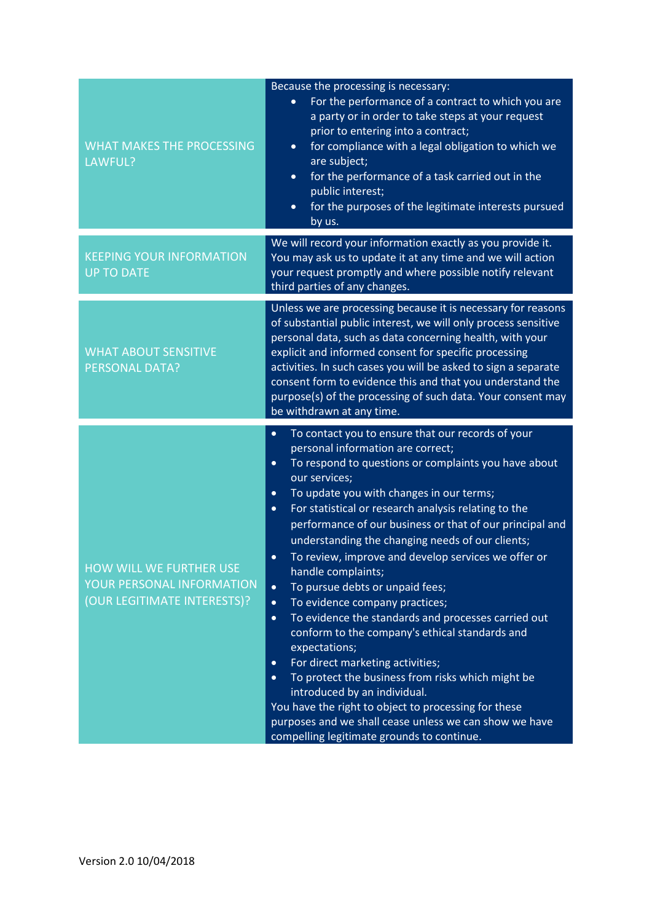| <b>WHAT MAKES THE PROCESSING</b><br>LAWFUL?                                         | Because the processing is necessary:<br>For the performance of a contract to which you are<br>$\bullet$<br>a party or in order to take steps at your request<br>prior to entering into a contract;<br>for compliance with a legal obligation to which we<br>$\bullet$<br>are subject;<br>for the performance of a task carried out in the<br>$\bullet$<br>public interest;<br>for the purposes of the legitimate interests pursued<br>$\bullet$<br>by us.                                                                                                                                                                                                                                                                                                                                                                                                                                                                                                                                                                                                                                  |
|-------------------------------------------------------------------------------------|--------------------------------------------------------------------------------------------------------------------------------------------------------------------------------------------------------------------------------------------------------------------------------------------------------------------------------------------------------------------------------------------------------------------------------------------------------------------------------------------------------------------------------------------------------------------------------------------------------------------------------------------------------------------------------------------------------------------------------------------------------------------------------------------------------------------------------------------------------------------------------------------------------------------------------------------------------------------------------------------------------------------------------------------------------------------------------------------|
| <b>KEEPING YOUR INFORMATION</b><br><b>UP TO DATE</b>                                | We will record your information exactly as you provide it.<br>You may ask us to update it at any time and we will action<br>your request promptly and where possible notify relevant<br>third parties of any changes.                                                                                                                                                                                                                                                                                                                                                                                                                                                                                                                                                                                                                                                                                                                                                                                                                                                                      |
| <b>WHAT ABOUT SENSITIVE</b><br><b>PERSONAL DATA?</b>                                | Unless we are processing because it is necessary for reasons<br>of substantial public interest, we will only process sensitive<br>personal data, such as data concerning health, with your<br>explicit and informed consent for specific processing<br>activities. In such cases you will be asked to sign a separate<br>consent form to evidence this and that you understand the<br>purpose(s) of the processing of such data. Your consent may<br>be withdrawn at any time.                                                                                                                                                                                                                                                                                                                                                                                                                                                                                                                                                                                                             |
| HOW WILL WE FURTHER USE<br>YOUR PERSONAL INFORMATION<br>(OUR LEGITIMATE INTERESTS)? | To contact you to ensure that our records of your<br>$\bullet$<br>personal information are correct;<br>To respond to questions or complaints you have about<br>$\bullet$<br>our services;<br>To update you with changes in our terms;<br>$\bullet$<br>For statistical or research analysis relating to the<br>$\bullet$<br>performance of our business or that of our principal and<br>understanding the changing needs of our clients;<br>To review, improve and develop services we offer or<br>$\bullet$<br>handle complaints;<br>To pursue debts or unpaid fees;<br>$\bullet$<br>To evidence company practices;<br>$\bullet$<br>To evidence the standards and processes carried out<br>$\bullet$<br>conform to the company's ethical standards and<br>expectations;<br>For direct marketing activities;<br>$\bullet$<br>To protect the business from risks which might be<br>$\bullet$<br>introduced by an individual.<br>You have the right to object to processing for these<br>purposes and we shall cease unless we can show we have<br>compelling legitimate grounds to continue. |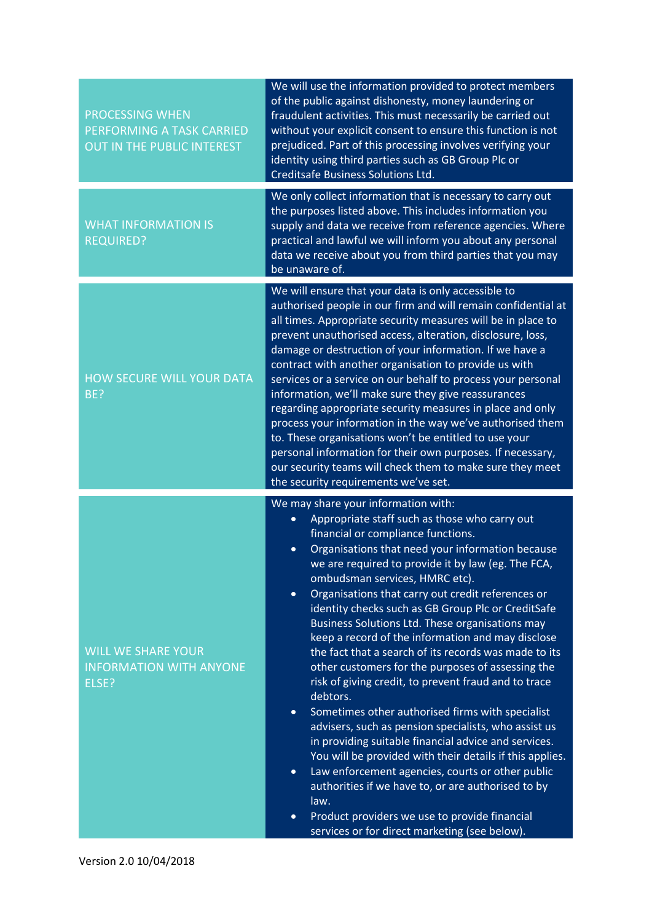| <b>PROCESSING WHEN</b><br>PERFORMING A TASK CARRIED<br><b>OUT IN THE PUBLIC INTEREST</b> | We will use the information provided to protect members<br>of the public against dishonesty, money laundering or<br>fraudulent activities. This must necessarily be carried out<br>without your explicit consent to ensure this function is not<br>prejudiced. Part of this processing involves verifying your<br>identity using third parties such as GB Group Plc or<br><b>Creditsafe Business Solutions Ltd.</b>                                                                                                                                                                                                                                                                                                                                                                                                                                                                                                                                                                                                                                                                                                                                                                                           |
|------------------------------------------------------------------------------------------|---------------------------------------------------------------------------------------------------------------------------------------------------------------------------------------------------------------------------------------------------------------------------------------------------------------------------------------------------------------------------------------------------------------------------------------------------------------------------------------------------------------------------------------------------------------------------------------------------------------------------------------------------------------------------------------------------------------------------------------------------------------------------------------------------------------------------------------------------------------------------------------------------------------------------------------------------------------------------------------------------------------------------------------------------------------------------------------------------------------------------------------------------------------------------------------------------------------|
| <b>WHAT INFORMATION IS</b><br><b>REQUIRED?</b>                                           | We only collect information that is necessary to carry out<br>the purposes listed above. This includes information you<br>supply and data we receive from reference agencies. Where<br>practical and lawful we will inform you about any personal<br>data we receive about you from third parties that you may<br>be unaware of.                                                                                                                                                                                                                                                                                                                                                                                                                                                                                                                                                                                                                                                                                                                                                                                                                                                                              |
| <b>HOW SECURE WILL YOUR DATA</b><br>BE?                                                  | We will ensure that your data is only accessible to<br>authorised people in our firm and will remain confidential at<br>all times. Appropriate security measures will be in place to<br>prevent unauthorised access, alteration, disclosure, loss,<br>damage or destruction of your information. If we have a<br>contract with another organisation to provide us with<br>services or a service on our behalf to process your personal<br>information, we'll make sure they give reassurances<br>regarding appropriate security measures in place and only<br>process your information in the way we've authorised them<br>to. These organisations won't be entitled to use your<br>personal information for their own purposes. If necessary,<br>our security teams will check them to make sure they meet<br>the security requirements we've set.                                                                                                                                                                                                                                                                                                                                                           |
| <b>WILL WE SHARE YOUR</b><br><b>INFORMATION WITH ANYONE</b><br>ELSE?                     | We may share your information with:<br>Appropriate staff such as those who carry out<br>$\bullet$<br>financial or compliance functions.<br>Organisations that need your information because<br>$\bullet$<br>we are required to provide it by law (eg. The FCA,<br>ombudsman services, HMRC etc).<br>Organisations that carry out credit references or<br>$\bullet$<br>identity checks such as GB Group Plc or CreditSafe<br>Business Solutions Ltd. These organisations may<br>keep a record of the information and may disclose<br>the fact that a search of its records was made to its<br>other customers for the purposes of assessing the<br>risk of giving credit, to prevent fraud and to trace<br>debtors.<br>Sometimes other authorised firms with specialist<br>$\bullet$<br>advisers, such as pension specialists, who assist us<br>in providing suitable financial advice and services.<br>You will be provided with their details if this applies.<br>Law enforcement agencies, courts or other public<br>$\bullet$<br>authorities if we have to, or are authorised to by<br>law.<br>Product providers we use to provide financial<br>$\bullet$<br>services or for direct marketing (see below). |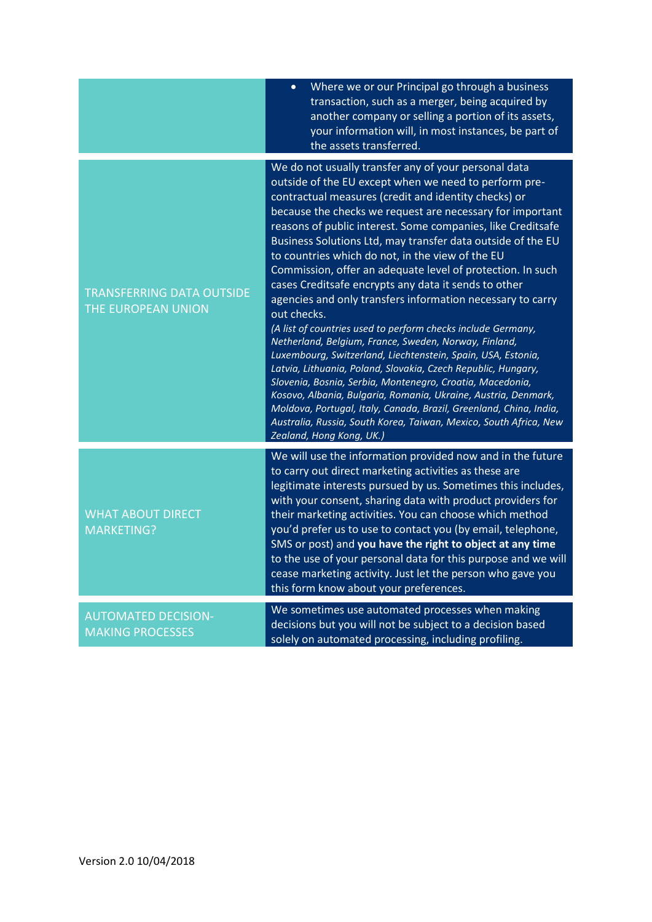|                                                        | Where we or our Principal go through a business<br>$\bullet$<br>transaction, such as a merger, being acquired by<br>another company or selling a portion of its assets,<br>your information will, in most instances, be part of<br>the assets transferred.                                                                                                                                                                                                                                                                                                                                                                                                                                                                                                                                                                                                                                                                                                                                                                                                                                                                                                                              |
|--------------------------------------------------------|-----------------------------------------------------------------------------------------------------------------------------------------------------------------------------------------------------------------------------------------------------------------------------------------------------------------------------------------------------------------------------------------------------------------------------------------------------------------------------------------------------------------------------------------------------------------------------------------------------------------------------------------------------------------------------------------------------------------------------------------------------------------------------------------------------------------------------------------------------------------------------------------------------------------------------------------------------------------------------------------------------------------------------------------------------------------------------------------------------------------------------------------------------------------------------------------|
| <b>TRANSFERRING DATA OUTSIDE</b><br>THE EUROPEAN UNION | We do not usually transfer any of your personal data<br>outside of the EU except when we need to perform pre-<br>contractual measures (credit and identity checks) or<br>because the checks we request are necessary for important<br>reasons of public interest. Some companies, like Creditsafe<br>Business Solutions Ltd, may transfer data outside of the EU<br>to countries which do not, in the view of the EU<br>Commission, offer an adequate level of protection. In such<br>cases Creditsafe encrypts any data it sends to other<br>agencies and only transfers information necessary to carry<br>out checks.<br>(A list of countries used to perform checks include Germany,<br>Netherland, Belgium, France, Sweden, Norway, Finland,<br>Luxembourg, Switzerland, Liechtenstein, Spain, USA, Estonia,<br>Latvia, Lithuania, Poland, Slovakia, Czech Republic, Hungary,<br>Slovenia, Bosnia, Serbia, Montenegro, Croatia, Macedonia,<br>Kosovo, Albania, Bulgaria, Romania, Ukraine, Austria, Denmark,<br>Moldova, Portugal, Italy, Canada, Brazil, Greenland, China, India,<br>Australia, Russia, South Korea, Taiwan, Mexico, South Africa, New<br>Zealand, Hong Kong, UK.) |
| <b>WHAT ABOUT DIRECT</b><br><b>MARKETING?</b>          | We will use the information provided now and in the future<br>to carry out direct marketing activities as these are<br>legitimate interests pursued by us. Sometimes this includes,<br>with your consent, sharing data with product providers for<br>their marketing activities. You can choose which method<br>you'd prefer us to use to contact you (by email, telephone,<br>SMS or post) and you have the right to object at any time<br>to the use of your personal data for this purpose and we will<br>cease marketing activity. Just let the person who gave you<br>this form know about your preferences.                                                                                                                                                                                                                                                                                                                                                                                                                                                                                                                                                                       |
| <b>AUTOMATED DECISION-</b><br><b>MAKING PROCESSES</b>  | We sometimes use automated processes when making<br>decisions but you will not be subject to a decision based<br>solely on automated processing, including profiling.                                                                                                                                                                                                                                                                                                                                                                                                                                                                                                                                                                                                                                                                                                                                                                                                                                                                                                                                                                                                                   |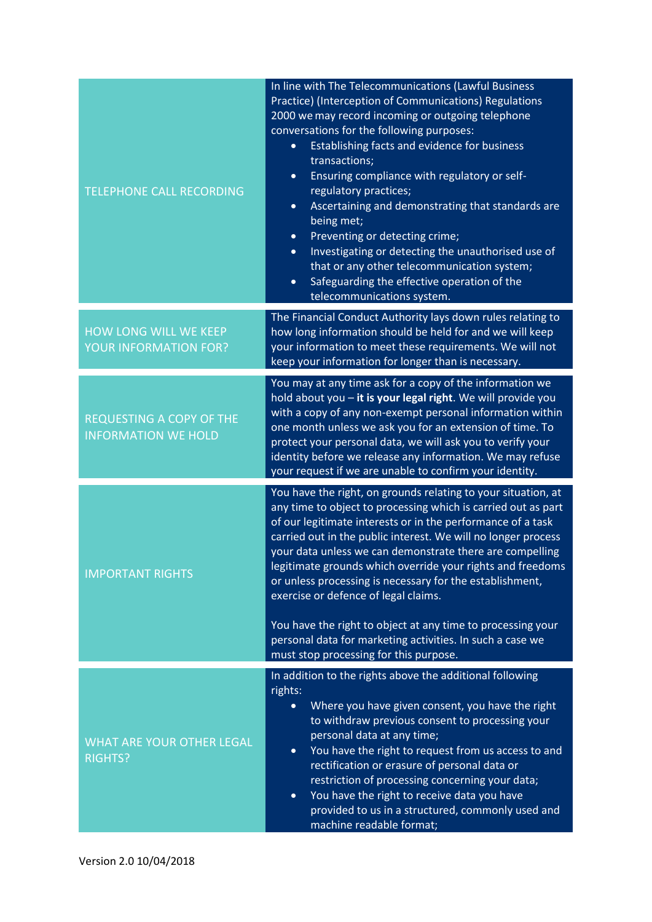| <b>TELEPHONE CALL RECORDING</b>                               | In line with The Telecommunications (Lawful Business<br>Practice) (Interception of Communications) Regulations<br>2000 we may record incoming or outgoing telephone<br>conversations for the following purposes:<br>Establishing facts and evidence for business<br>$\bullet$<br>transactions;<br>Ensuring compliance with regulatory or self-<br>$\bullet$<br>regulatory practices;<br>Ascertaining and demonstrating that standards are<br>$\bullet$<br>being met;<br>Preventing or detecting crime;<br>$\bullet$<br>Investigating or detecting the unauthorised use of<br>$\bullet$<br>that or any other telecommunication system;<br>Safeguarding the effective operation of the<br>$\bullet$<br>telecommunications system. |
|---------------------------------------------------------------|---------------------------------------------------------------------------------------------------------------------------------------------------------------------------------------------------------------------------------------------------------------------------------------------------------------------------------------------------------------------------------------------------------------------------------------------------------------------------------------------------------------------------------------------------------------------------------------------------------------------------------------------------------------------------------------------------------------------------------|
| HOW LONG WILL WE KEEP<br>YOUR INFORMATION FOR?                | The Financial Conduct Authority lays down rules relating to<br>how long information should be held for and we will keep<br>your information to meet these requirements. We will not<br>keep your information for longer than is necessary.                                                                                                                                                                                                                                                                                                                                                                                                                                                                                      |
| <b>REQUESTING A COPY OF THE</b><br><b>INFORMATION WE HOLD</b> | You may at any time ask for a copy of the information we<br>hold about you - it is your legal right. We will provide you<br>with a copy of any non-exempt personal information within<br>one month unless we ask you for an extension of time. To<br>protect your personal data, we will ask you to verify your<br>identity before we release any information. We may refuse<br>your request if we are unable to confirm your identity.                                                                                                                                                                                                                                                                                         |
| <b>IMPORTANT RIGHTS</b>                                       | You have the right, on grounds relating to your situation, at<br>any time to object to processing which is carried out as part<br>of our legitimate interests or in the performance of a task<br>carried out in the public interest. We will no longer process<br>your data unless we can demonstrate there are compelling<br>legitimate grounds which override your rights and freedoms<br>or unless processing is necessary for the establishment,<br>exercise or defence of legal claims.<br>You have the right to object at any time to processing your<br>personal data for marketing activities. In such a case we                                                                                                        |
| <b>WHAT ARE YOUR OTHER LEGAL</b><br><b>RIGHTS?</b>            | must stop processing for this purpose.<br>In addition to the rights above the additional following<br>rights:<br>Where you have given consent, you have the right<br>$\bullet$<br>to withdraw previous consent to processing your<br>personal data at any time;<br>You have the right to request from us access to and<br>$\bullet$<br>rectification or erasure of personal data or<br>restriction of processing concerning your data;<br>You have the right to receive data you have<br>$\bullet$<br>provided to us in a structured, commonly used and<br>machine readable format;                                                                                                                                             |